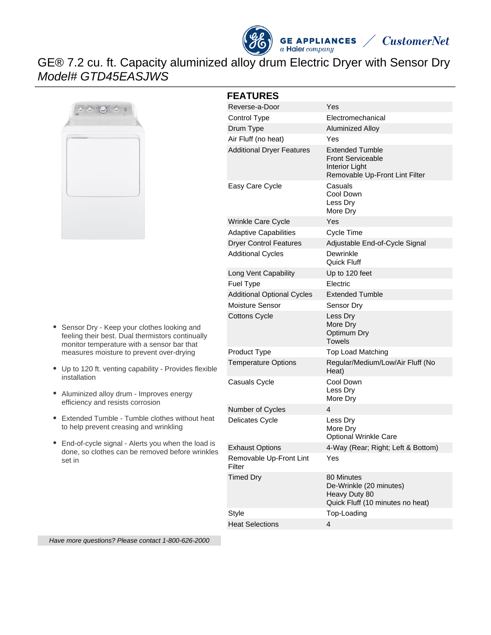



# GE® 7.2 cu. ft. Capacity aluminized alloy drum Electric Dryer with Sensor Dry Model# GTD45EASJWS



| Sensor Dry - Keep your clothes looking and       |
|--------------------------------------------------|
| feeling their best. Dual thermistors continually |
| monitor temperature with a sensor bar that       |
| measures moisture to prevent over-drying         |

- Up to 120 ft. venting capability Provides flexible installation
- Aluminized alloy drum Improves energy efficiency and resists corrosion
- Extended Tumble Tumble clothes without heat to help prevent creasing and wrinkling
- End-of-cycle signal Alerts you when the load is done, so clothes can be removed before wrinkles set in

| <b>FEATURES</b>                   |                                                                                                        |  |  |
|-----------------------------------|--------------------------------------------------------------------------------------------------------|--|--|
| Reverse-a-Door                    | Yes                                                                                                    |  |  |
| Control Type                      | Electromechanical                                                                                      |  |  |
| Drum Type                         | <b>Aluminized Alloy</b>                                                                                |  |  |
| Air Fluff (no heat)               | Yes                                                                                                    |  |  |
| <b>Additional Dryer Features</b>  | <b>Extended Tumble</b><br><b>Front Serviceable</b><br>Interior Light<br>Removable Up-Front Lint Filter |  |  |
| Easy Care Cycle                   | Casuals<br>Cool Down<br>Less Dry<br>More Dry                                                           |  |  |
| Wrinkle Care Cycle                | Yes                                                                                                    |  |  |
| <b>Adaptive Capabilities</b>      | <b>Cycle Time</b>                                                                                      |  |  |
| <b>Dryer Control Features</b>     | Adjustable End-of-Cycle Signal                                                                         |  |  |
| <b>Additional Cycles</b>          | Dewrinkle<br>Quick Fluff                                                                               |  |  |
| Long Vent Capability              | Up to 120 feet                                                                                         |  |  |
| Fuel Type                         | Electric                                                                                               |  |  |
| <b>Additional Optional Cycles</b> | <b>Extended Tumble</b>                                                                                 |  |  |
| Moisture Sensor                   | Sensor Dry                                                                                             |  |  |
| <b>Cottons Cycle</b>              | Less Dry<br>More Dry<br><b>Optimum Dry</b><br>Towels                                                   |  |  |
| Product Type                      | <b>Top Load Matching</b>                                                                               |  |  |
| <b>Temperature Options</b>        | Regular/Medium/Low/Air Fluff (No<br>Heat)                                                              |  |  |
| Casuals Cycle                     | Cool Down<br>Less Dry<br>More Dry                                                                      |  |  |
| Number of Cycles                  | 4                                                                                                      |  |  |
| <b>Delicates Cycle</b>            | Less Dry<br>More Dry<br><b>Optional Wrinkle Care</b>                                                   |  |  |
| <b>Exhaust Options</b>            | 4-Way (Rear; Right; Left & Bottom)                                                                     |  |  |
| Removable Up-Front Lint<br>Filter | Yes                                                                                                    |  |  |
| <b>Timed Dry</b>                  | 80 Minutes<br>De-Wrinkle (20 minutes)<br>Heavy Duty 80<br>Quick Fluff (10 minutes no heat)             |  |  |
| Style                             | Top-Loading                                                                                            |  |  |

Heat Selections 4

Have more questions? Please contact 1-800-626-2000